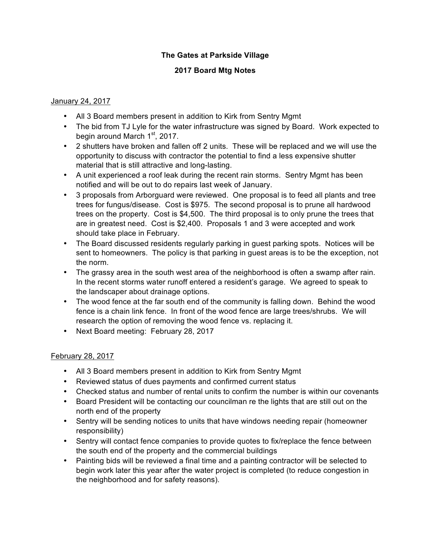## **The Gates at Parkside Village**

### **2017 Board Mtg Notes**

#### January 24, 2017

- All 3 Board members present in addition to Kirk from Sentry Mgmt
- The bid from TJ Lyle for the water infrastructure was signed by Board. Work expected to begin around March 1<sup>st</sup>, 2017.
- 2 shutters have broken and fallen off 2 units. These will be replaced and we will use the opportunity to discuss with contractor the potential to find a less expensive shutter material that is still attractive and long-lasting.
- A unit experienced a roof leak during the recent rain storms. Sentry Mgmt has been notified and will be out to do repairs last week of January.
- 3 proposals from Arborguard were reviewed. One proposal is to feed all plants and tree trees for fungus/disease. Cost is \$975. The second proposal is to prune all hardwood trees on the property. Cost is \$4,500. The third proposal is to only prune the trees that are in greatest need. Cost is \$2,400. Proposals 1 and 3 were accepted and work should take place in February.
- The Board discussed residents regularly parking in guest parking spots. Notices will be sent to homeowners. The policy is that parking in guest areas is to be the exception, not the norm.
- The grassy area in the south west area of the neighborhood is often a swamp after rain. In the recent storms water runoff entered a resident's garage. We agreed to speak to the landscaper about drainage options.
- The wood fence at the far south end of the community is falling down. Behind the wood fence is a chain link fence. In front of the wood fence are large trees/shrubs. We will research the option of removing the wood fence vs. replacing it.
- Next Board meeting: February 28, 2017

### February 28, 2017

- All 3 Board members present in addition to Kirk from Sentry Mgmt
- Reviewed status of dues payments and confirmed current status
- Checked status and number of rental units to confirm the number is within our covenants
- Board President will be contacting our councilman re the lights that are still out on the north end of the property
- Sentry will be sending notices to units that have windows needing repair (homeowner responsibility)
- Sentry will contact fence companies to provide quotes to fix/replace the fence between the south end of the property and the commercial buildings
- Painting bids will be reviewed a final time and a painting contractor will be selected to begin work later this year after the water project is completed (to reduce congestion in the neighborhood and for safety reasons).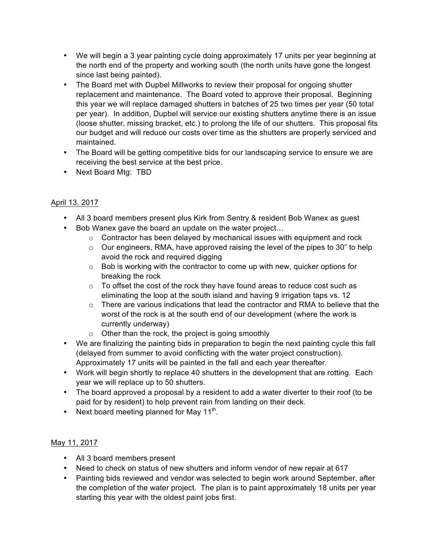- We will begin a 3 year painting cycle doing approximately 17 units per year beginning at the north end of the property and working south (the north units have gone the longest since last being painted).
- The Board met with Dupbel Millworks to review their proposal for ongoing shutter replacement and maintenance. The Board voted to approve their proposal. Beginning this year we will replace damaged shutters in batches of 25 two times per year (50 total per year). In addition, Dupbel will service our existing shutters anytime there is an issue (loose shutter, missing bracket, etc.) to prolong the life of our shutters. This proposal fits our budget and will reduce our costs over time as the shutters are properly serviced and maintained.
- The Board will be getting competitive bids for our landscaping service to ensure we are receiving the best service at the best price.
- Next Board Mtg: TBD

# April 13, 2017

- All 3 board members present plus Kirk from Sentry & resident Bob Wanex as guest
- Bob Wanex gave the board an update on the water project…
	- o Contractor has been delayed by mechanical issues with equipment and rock
	- $\circ$  Our engineers, RMA, have approved raising the level of the pipes to 30" to help avoid the rock and required digging
	- o Bob is working with the contractor to come up with new, quicker options for breaking the rock
	- o To offset the cost of the rock they have found areas to reduce cost such as eliminating the loop at the south island and having 9 irrigation taps vs. 12
	- o There are various indications that lead the contractor and RMA to believe that the worst of the rock is at the south end of our development (where the work is currently underway)
	- o Other than the rock, the project is going smoothly
- We are finalizing the painting bids in preparation to begin the next painting cycle this fall (delayed from summer to avoid conflicting with the water project construction). Approximately 17 units will be painted in the fall and each year thereafter.
- Work will begin shortly to replace 40 shutters in the development that are rotting. Each year we will replace up to 50 shutters.
- The board approved a proposal by a resident to add a water diverter to their roof (to be paid for by resident) to help prevent rain from landing on their deck.
- Next board meeting planned for May  $11^{th}$ .

## May 11, 2017

- All 3 board members present
- Need to check on status of new shutters and inform vendor of new repair at 617
- Painting bids reviewed and vendor was selected to begin work around September, after the completion of the water project. The plan is to paint approximately 18 units per year starting this year with the oldest paint jobs first.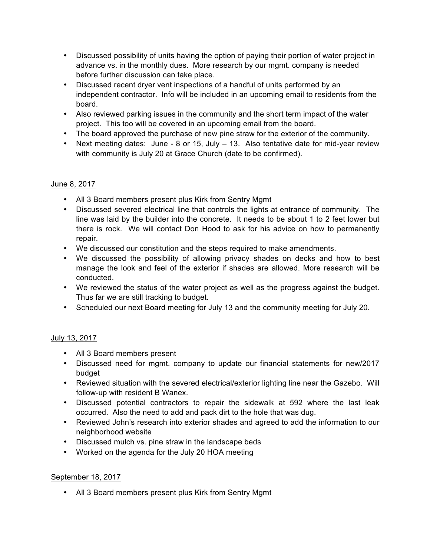- Discussed possibility of units having the option of paying their portion of water project in advance vs. in the monthly dues. More research by our mgmt. company is needed before further discussion can take place.
- Discussed recent dryer vent inspections of a handful of units performed by an independent contractor. Info will be included in an upcoming email to residents from the board.
- Also reviewed parking issues in the community and the short term impact of the water project. This too will be covered in an upcoming email from the board.
- The board approved the purchase of new pine straw for the exterior of the community.
- Next meeting dates: June 8 or 15, July 13. Also tentative date for mid-year review with community is July 20 at Grace Church (date to be confirmed).

## June 8, 2017

- All 3 Board members present plus Kirk from Sentry Mgmt
- Discussed severed electrical line that controls the lights at entrance of community. The line was laid by the builder into the concrete. It needs to be about 1 to 2 feet lower but there is rock. We will contact Don Hood to ask for his advice on how to permanently repair.
- We discussed our constitution and the steps required to make amendments.
- We discussed the possibility of allowing privacy shades on decks and how to best manage the look and feel of the exterior if shades are allowed. More research will be conducted.
- We reviewed the status of the water project as well as the progress against the budget. Thus far we are still tracking to budget.
- Scheduled our next Board meeting for July 13 and the community meeting for July 20.

### July 13, 2017

- All 3 Board members present
- Discussed need for mgmt. company to update our financial statements for new/2017 budget
- Reviewed situation with the severed electrical/exterior lighting line near the Gazebo. Will follow-up with resident B Wanex.
- Discussed potential contractors to repair the sidewalk at 592 where the last leak occurred. Also the need to add and pack dirt to the hole that was dug.
- Reviewed John's research into exterior shades and agreed to add the information to our neighborhood website
- Discussed mulch vs. pine straw in the landscape beds
- Worked on the agenda for the July 20 HOA meeting

### September 18, 2017

• All 3 Board members present plus Kirk from Sentry Mgmt